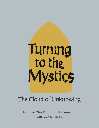

## The Cloud of Unknowing

Intro to The Cloud of Unknowing with James Finley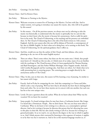Jim Finley: Greetings. I'm Jim Finley.

Kirsten Oates: And I'm Kirsten Oates.

Jim Finley: Welcome to Turning to the Mystics.

- Kirsten Oates: Welcome everyone to season five of Turning to the Mystics. I'm here with Jim. And in today's session, we're going to introduce our season five mystic. Jim, who will we be guided by this season?
- Jim Finley: In this season... On all the previous seasons, we always start out by referring to who the mystic was historically, to understand who the mystic is spiritually, but we can't do this because we don't know who the mystic is because he's anonymous. And so really his spirit lives in his work, The Cloud of Unknowing, so his teaching and his presence are embodied there. So The Cloud of Unknowing then is the title of his book written in 14th century England. And the next season after this one will be Juliana of Norwich, a contemporary of his, also in Middle English. So that's what we're doing here, we're turning to this book, The Cloud of Unknowing, for the spiritual guidance that it offers us.
- Kirsten Oates: And Jim, would you say that the author of this Cloud, and then Juliana, who you're planning to do, are two of the main English mystics?
- Jim Finley: There are others. There's some others, but these are the two main ones, I think, that people most know of. I should say this too also, is I think most of us today, many of us are familiar with the teachings in The Cloud because of how it's been popularized by Thomas Keating and Basil Pennington, and also Father William Meninger, three Trappist monks. And also with Cynthia Bourgeault and her teachings also. And there are others. So I think what we're really presenting here is centering prayer. The centering prayer as taught directly by the anonymous author of The Cloud.
- Kirsten Oates: Okay. So Jim, just on that note, this season we'll be learning a way of praying. So similar to last season with Guigo.
- Jim Finley: Exactly. And we'll also be comparing the two. And also comparing it to Teresa and John, which is also a way of praying. We'll see how they're all related, but how they're distinguished from each other. Yes, we see how these mystics are in concert with one another, but each one has his or her own unique voice.
- Kirsten Oates: Lovely. Do just a question about the author. What do we know about him? What was his vocation? Do we know his vocation?
- Jim Finley: Some people, I've heard writings where he may have been a Carthusian hermit, like Guigo. I've heard also a Dominican. People... But we don't know. The one you hear most often is Carthusian. What we do know is he's writing it to a directee, as a contemplative spiritual director. And so he's writing it because he discerns this person that he's directing has come to this place in their life. But he's also clearly writing to all of us, because he's writing it as general principles. So as we read it, we can discern the degree or the way in which it applies to us. And I think anyone who's nurtured by listening to this sequence of sessions, it applies to us by that very fact it nurtures us. And so far as this mystical language touches us, or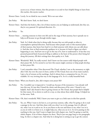access as us, it bears witness, that this pertains to us and we have helpful things to learn from this teacher, this mystic teacher.

- Kirsten Oates: Lovely. So we think he was a monk. We're not sure what-
- Jim Finley: We don't know. Yeah, we don't know.
- Kirsten Oates: And then the book is, like a lot of these mystics you are helping us understand, Jim they are, they're very pastoral. It's spiritual direction. It's-
- Jim Finley: Yes.
- Kirsten Oates: ... meeting someone in their own life and in the stage of their journey, but it spreads out to help us all because we go through similar stages.
- Jim Finley: Yeah. So I think what they're doing really, because they sat with people so often in contemplative spiritual direction. And because when people come to this mystical phase of their journey, they know how hard it is to find someone with whom you can talk about it. And also, how to find trustworthy guidance in it, because it's hard to figure out what's happening to you. And how not to get in the way of it, how to understand it. It has that very personal pastoral kind of practical thing to address to the heart of the person who's being led along this journey. All their writings have that quality to it. Yeah.
- Kirsten Oates: Wonderful. Well, I'm really excited. And I know our last season really helped people with their prayer life. So I'm excited to see how this season might continue to help people develop in their prayer life.
- Jim Finley: I can't remember when I first discovered The Cloud, whether I saw at the monastery or right after I left, but over the years it's been, author of The Cloud, been one of my main teachers. I give a lot of retreats on his teachings. And it's always been a companion for me. It's very readable. It's very inviting that way in the language of it. So it's a really beautiful book
- Kirsten Oates: When you found it, Jim, did it impact your prayer life?
- Jim Finley: No, I wouldn't say it impacted it. I would say, because of the monastery, I was already well into this way. It's just that I found the clarity and directness of his voice. I found it very helpful. And I also found it then in giving retreats on The Cloud, that people find it helpful for that reason. It's so down to earth in a way, so clear about these subtle things. It helped me in that sense. Yeah.

Kirsten Oates: Oh, that's wonderful. Well, I know you want to give us a little taste in this first episode.

Jim Finley: Yes, yes. What I want to do here is, as in previous sessions, talks, what I'm going to do is read a passage in the text. And then share with you what I see in the passage, how it's affected me, what I see in it and so on. So as you listen to the text and listen to my, what I see in it, as you sit with it or listen to it, it might help you, what you see in it. So we're passing on the teaching in this way. And I want to begin here with chapter one. And I'm going to read the whole chapter. A lot of these chapters are short. They're just one page long or two paragraphs long. So this is a chapter one. And what he is doing here is setting us up to get the context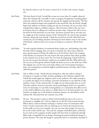for what he's about to say. To create a context for it. So this is the context, chapter one.

- Jim Finley: "My dear friend in God, I would like to pass on to you what I've roughly observed about the Christian life. Generally it seems to progress through four ascending phases of growth, which I call the common, the special, the singular and the perfect. The first three may indeed be begun and completed in this mortal life. But the fourth, though begun here shall go on without ending into the joy of eternity. Do you see that I have arranged these stages in a definite sequence. This is because I believe that our Lord in his great mercy, is calling you to advance by these steps. I discern his call to you in the desire for him that burns in your heart. You know yourself, that at one time you are caught up in the common manner of the Christian life. In a day by day mundane existence, along with your friends. I think the eternal love of God, which had once created you out of nothing and then redeemed you from Adam's curse to the sacrifice of his blood, could not bear to let you go on living in so common a life far from him."
- Jim Finley: "So with exquisite kindness, he awakened desire within you. And binding it fast with the leash of love's longing, drew you closer to himself, into what I have called the more special manner of living. He called you to be his friend. And in the company of his friends, you learned to live the interior life more perfectly than what's possible in the common way. Is there more? Yes. For, from the beginning, I think God's love for you was so great that his heart could not rest satisfied with this. What did he do? Do you not see how gently and how kindly has drawn you on to the third way of life? The singular. Yes, you live now at the deep solitary core of your being, learning to direct your loving desire toward the highest and final manner of living, which I have called the perfect."
- Jim Finley: Like to reflect on this. I think what he's doing here, what the author is doing is inviting us to consider our faith, and here speaking in the Christian tradition. But I think this would apply any religious seeker in any tradition. He's really inviting us to consider the degree of our intimate, personal commitment to our faith life in that tradition. And so in the common life, we might say, are those people who are in the Christian tradition, because it provides certain psychological needs. Or it provides a sense of community, or it provides moral guidance or a community that offers service to the world in different ways and so on. Helps them try to be better people. See, and therefore we might say, it's the holiness of human existence. It's the holiness of the ordinary life. Sincerely lived, the common way of life.
- Jim Finley: He says, "The special is a point at which God personally becomes real to you in an intimate or tangible way." And we might say, it's the life of devotional sincerity. Where there's a kind of intimate exchange or intimate sense of communion with God, or God's communion with you drawing you to God in devotional sincerity. As that spills over into your attitudes, the way you treat other people, the way you live in the world. And he says, "You seek the company of kindred spirits, of friends." So you seek out the company of other people who have been so awakened, through Bible study, or hopefully let's say liturgy. Assuming the person leading the liturgy is a person of prayer. The sense the liturgy is a prayerful time in a community of people to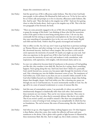deepen this commitment and so on.

- Jim Finley: And the special way of life is efficacious under holiness. That this is how God leads most people, in this ordinary life illumined by faith and so on. To live by love and to live as Christ calls and prompts us to live in sincerity, efficacious under holiness, like this. And he said, "Then this leads to the singular way of life." And now he's getting closer to what his books about. And to get at the singular way of life. This is the last two paragraphs of the forward, the book.
- Jim Finley: "There are some presently engaged in the act of life who are being prepared by grace to grasp the message of this book. I am thinking of those who feel the mysterious action of the spirit in their in most being stirring them to love. I do not say they continually feel the stirring as experienced contemplatives do, but now and again, they taste something of contemplative love in the very core of their being. Should such folk read this book, I believe they'll be greatly encouraged and reassured."
- Jim Finley: Like to reflect on this. See, let's say, now I want to go back here to previous teachings on Thomas Merton, and other writings. Let's say you're living in this special way of life, devotional sincerity. And here's where imagine, like you draw a circle and the circle represents the interiority of yourself. Or maybe you might say your soul. And what you experience in the special way of life is that God who is utterly beyond you accesses the interiority of your soul, and awakens it with consolations, with inspirations, with aspirations, with insights, with devotional clarity and so on.
- Jim Finley: So your very subjectivity becomes kind of translucent to the presence of God guiding you like this, they translate it into daily life. But here he is saying, there's something happens. You're going along this way. And God, here's how I think of it, poetically. God, utterly beyond you, accesses you, but passes right through the interiority of your soul. Like a shooting star, into the hidden innermost center of you. The imminence of God within you. God's closer to you than you are to yourself, within yourself. So the God who's hidden beyond you is hidden within your innermost, deeper than feeling, deeper than thought, deeper. And God within you, like a shooting star, passes out through you out to God beyond you. So you're momentarily transfix in God. See, the ego self is in a state of amazed wonderment or a sense of oneness like this.
- Jim Finley: And this taste of contemplative union. I say poetically, it's where you and God simultaneously disappear as dualistically other than each other. And sometimes these moments are very intense. They can be very intense moments. They come in all kinds of ways. But very often they're extremely delicate, like they're very subtle. That if you weren't careful, you would've missed it. But there was unexplainable oneness or a sense of resting in God, resting in you unexplainably. In which fear has no foundations. The end of sorrow, like sense of homecoming, like this. And then it passes.
- Jim Finley: And when we go on, what happens? Either nothing happens next. Or what happens is these flashes, when they come, they render the reflective self more and more translucent to the divine. Like it glows with a gentle or light because it's illumined by these momentary flash, like this. And we might say, this is fairly common, I think,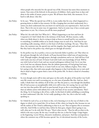where people who sincerely live the special way of life. Everyone has tastes these moments in nature. Your arms of the beloved, in the presence of children. And a quiet hour at days end alone in the midst of nature, prayer or poet. We all know these little, this moments. It's so hard to talk about. Like this.

- Jim Finley: So he says, "What the special way of life is, is you realize that for you, what's happened is a growing desire to abide in that oneness. It's like a longing that you don't understand, for a union you don't understand, but you know it's real because you experienced it. And you live there. That is for you in some way, it's uppermost. And as in some way, it has a certain quiet importance to you. Yet, it leaves you all the more perplexed."
- Jim Finley: What do I do with this? See? What do I... What's happening to me here and how do I respond to it? And I think this is the intimacy of the book. All these mystics, really, when you think about it, they're trying to help us listen to ourself and be very attentive to something. It unfolds within us in utterly unique ways in each of us. And then he says something really amazing, which is at the heart of all these teachings. He says, "These first three, the common way, the special way and the singular, they begin and end on this earth. But they lead to the perfect way, which goes on through all eternity."
- Jim Finley: So the perfect way, be ye perfect, even as your heavenly father is perfect, see? That when we die and pass through the veil of death, we'll pass beyond these veiled ways of experiencing God. Through insights, through prayer, through consolations and so on. And will love God with God's own love of God. Or know God with God's own knowledge of God. Will be one with God as God is God, and our eternal nothingness without God. So it's not that we're God, but our ultimate destiny, that the infinite generosity of God giving God away, in this oneness and a life that is, it wants God's in our own, fullness of glory. Now, what he's saying is this, that with some people what happens is that God decides not to wait until they're dead to begin to grant them a taste of the perfect life. So there's a kind of a boundary crossing.
- Jim Finley: So even though you're still in time and space on this earth, the glory of the perfect way God's own life crosses over and is accessing you, as a for taste of paradise like this. And see, that's really, I think that's the subtlety of all of this, see? But the point is, even though this deathless life of God accesses us unexplainably while we're still in time, he's saying, but we can't find our way into that perfect life until we pass beyond, let go or die to everything that's less than an infinite union with infinite love is the sole basis of our security and identity. That's the thing. So it's learning to die of love, really. In this kind of subtle unfolding as something we don't understand. Like this. So he's really speaking to this. See, this is who he's really speaking to.
- Jim Finley: So I think for each of us, as we listen to this, we're listening to it in the way of which or the degree to which we've tasted this. Or we know of this, where we long for this, because we can tell the author of The Cloud is addressing to that in us, see? That recognizes this or resonates with this. And I'd like to end here then, before he then goes, chapter three's going to say, well, what am I to do with this? He says, "Here's what you do." Then he tells us what to do, which is the way to pray. By the way, I would say this too, is that for Guigo. Guigo begins at the beginning. Lectio Divina, discussive meditation, and prayer. And that corresponds to where the common way of life becomes special. See, it's devotional sincerity of the Lectio,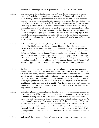the meditation and the prayer, but it opens and spills out upon the contemplation.

- Jim Finley: Likewise for there Teresa of Avila, in the Interior Castle, the first three mansions are the mansions of psychological spiritual maturity, of prayer, of effort of work and see the act of life, meaning actively engaged in the commitment to live this way. But with the fourth mansion, your hearts being enlarged to divine proportion, she starts there, see? And for John of the Cross, he starts also, we have to live by our life by imitating Christ. But we can imitate Christ only by follow Christ, but to follow Christ, we have to study Christ's life. Live by him. And the author of The Cloud says that also later in the book. He said, unless we follow Christ and meditate on Christ, we'll go astray here if we don't ground ourself in doing our homework and psychological spiritual maturity, see? And so now he's starting right in. But instead of starting at the beginning, like Guigo with Lectio or Teresa, the first mansion, he starts with contemplation. But he's saying, but he's assuming it's only because you've come to this place, see?
- Jim Finley: In the midst of things, we're strangely being called to this. So it's a kind of a discernment question like this. So before he tells us how to do this, see, he then helps us to understand better that it's a method, but it's not a method. It concretizes a desire, a God given desire. And these are attitudes of the heart. So before we head out on this journey, we prepare for the journey. By knowing the attitudes of heart were going need to carry us to the journey to reach this. And the first is, take courage now, frail mortal though you are. And the courage I think is this, is this possible that this kind of language could actually pertain to me? In the midst of my complexities in the midst of my, all the unresolved things, see? Is that possible? What will happen to me if I surrender to these longings? Or what will happen to me if I don't?
- Jim Finley: But since I long to surrender to these longings, I don't know how to surrender to them, because I don't understand them. So we need courage he says. And he says, "Do you think you're someone special, or you've deserved the Lord's favor? How can your heart be so laden and spiritless, if you do not also see how halfhearted you are in being called to this?" It isn't like you're a living Saint. You're just trying to get through another day. Just remind yourself of the ongoing halfheartedness, and so on, in which you're being touched in this way and called in this way. So it grounds itself in humility. And then he says, "Besides...", he says... I'll paraphrase. The thing is, you'll be miserable if you don't follow it. That's the thing. It's like the poet called to be a poet.
- Jim Finley: It's like Rilke, Letters to a Young Poet. In the stillest hour of your darkest night, ask yourself, must I write poetry? If the answers is a clear and simple, yes, you must spirit your whole life on an inner necessity, even at life unassuming moments. So this is like an inner necessity urging you, realistically speaking, that true love never imposes itself. It always invites us. But by a higher order imperative of the awakened heart, there's the inner necessity of following this, see? Because if I don't follow this, I won't be who in my heart. I believe in, since God's calling me to be. That's the integrity of it I think. And he says, "Then pursue your course relentlessly. Be relentless, because you need to be very patient here with this. You need to be quietly persistent and keep leaning into it. And learn to let God lead you in this mysterious inner journey."

Jim Finley: And so that's the introduction. See, that's kind of where he is at. It's a great, you can feel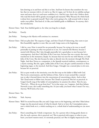him drawing us in and how real this is to him. And how he knows that somehow the very fact that we resonate with it, it's real to us. But it's vague, see? So how do we stabilize and get more and more clear in it and more confident in it. And he's says, that's why I believe those who read this book will be greatly encouraged and reassured. Why? Because the whole book is about how to ground yourself. That's why you're going to be, walk around with it, keep it under your pillow. This kind of, it's like your faithful guide to fulfillment. So anyway, that's the introductory.

Kirsten Oates: Yeah. Your faithful guide to, for what you long for so deeply.

Jim Finley: Exactly.

Jim Finley: Turning to the Mystics will continue in a moment.

- Kirsten Oates: Did you plan Jim? The sequence Guigo, and then Cloud of Unknowing, they seem to just flow beautifully together to start, like you said, Guigo starts at the beginning.
- Jim Finley: I did in a way. How it started for me personally, because I'm trying to be true to myself personally in passing on what was passed on to me. So I started with Merton, because I started with Merton. But I also thought pastorally, he's a good place to start because he's contemporary. And then I did John of the Cross next, because that was a mystic that most touched me in the monastery, deeply. So, because that was next for me with Merton, so I did John of the Cross. But also because he takes us directly into the mystical, through The Dark Night. And then Teresa as a companion, is the Spanish mystical tradition, contemporary, as a mystic starting. But she, again, unlike John of the Cross, she give careful attention to these beginning stages, to the mystical. And then Guigo, I thought was a natural place to do next, because he's so practical.
- Jim Finley: He's so puts words to the interiority, even the first step on the ladder is filled with God. This Lectio consciousness, and the holiness of that. And so it just seemed like a natural way to take it beyond theory into the concreteness of concretizing a desire. And so then The Cloud seems to follow next, because The Cloud's so practical. But he's so practical, in Guigo's fourth rung of the ladder of contemplation, he assumes the others. Then he says, "Now let's... Where do we go from here?" So in that sense, yes, I suppose. And then Juliana Norwich is next, she's really something else. It's just really, you know what I mean? I'm very... Anyway. We'll look at her next.

Kirsten Oates: Yes.

- Jim Finley: Yeah. Anyway.
- Kirsten Oates: Well I'm excited because like you said, Guigo starts at the beginning, and what I liked about Guigo was the practical nature of what he shared. And so to have the Contemplatio piece, now a whole book on it, a whole teaching on it, a whole kind of understanding we can move into.
- Jim Finley: Here's something else I think is important. See, for a person who is being gently drawn to this, for such a person, this is practical, see? This is practical with respect to what in your heart, you know matters most, it's extremely practical, see? But it's highly impractical to the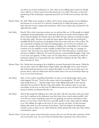one who's not yet been awakened to it. Like, what are you talking about? And even though you're called to it, there's a part of you that doesn't get it yet either. But some, to the inner quickening of this awakening, is supremely practical, see? It's like loves necessity. Like that. Yeah.

- Kirsten Oates: Yes. Yeah. What you're saying is so subtle, and I've been trying to grasp it in our dialogues, but because it's, at one level, it's a kind of a method, but it's really just giving a path to a desire that has its own compass and orientation. And it's just trying to get us pointed in the right direction, really?
- Jim Finley: Exactly. This is why in previous sessions too, we said just like, see, it's like people in a deeply committed, loving relationship, can't make their moments of oceanic oneness happen. But they've learned together the interior stance that offers the least resistance to being overtaken by what they make. The poet can't make the poem appear. But the poet has learned the [ inaudible 00:28:45] of poetry, the discipline of the inner stance that sets it free to flow. The one committed to healing can't make the healing happen, see? So there are methods as in the sense, strategies, like provisional strategies to heighten the vulnerability to be overtaken. It attains us in our inability to attain it deeply accepted. But it isn't big, it's a strategy, it's concrete. Like, here's how you assume this posture, see? And with practice, you'll get more and more confident. Otherwise, if it wasn't for practice is just beautiful thoughts, really. And it even wets your appetite, it's like a tease, see? So unless there's a concreteness in which it's intimately realized, see it's grounded that way. And all the traditions do this. They offer it, they concretely do. Yeah.
- Kirsten Oates: Yes. I think that's just going to be so helpful to everyone listening for this season. I liked the way too, Jim, when you talked about Guigo's ladder, that although it has a sense of ascent that God is perfectly present in every rung of the ladder. So it's the way we show up to our practice that is, with our whole heart and our whole selves is the way God always shows up to us at every level of practice.
- Jim Finley: Yeah. I want to share something. Remember we said, we were doing Guigo and we said, what happens? He says, "You're in this ecstatic state of contemplation." He said, "Then if God would throw us... " And the image I have is like falling backwards in slow motion. And what do you land in? The first rung of the ladder. The scriptures open on your lap, your fingers on the text, see? But now it's different because see, now you know that in any moment, all that can blossom like this, see?
- Jim Finley: And it's like people first falling in love with each other. The first time they touch each other, once they've quicken in the realization, now they know what a touch makes possible. And so in this way, notice something, notice he's not speaking way up here somewhere to this person, or to us notice. Notice how he so naturally speaks in such a direct, like he's talking to us. He's talking, he's right on the level. It's not a one up, one down. It's like incarnate infinity that meets us in the sincerity of our desires. That's the holiness of circling back around to meet us where we are. And I think the whole spiritual life is like that, that's Christ consciousness, I guess.
- Kirsten Oates: It's just such a grace to learn from these mystics who you can tell, just their experience of this was so real and so true. So even if I haven't had that direct experience that I know they've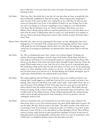had, I really have a trust and a faith and a sense of wonder and aspiration that comes with listening to them.

- Jim Finley: That's true. But I also think this is true also. It's true that when we listen to people like this, they're habitually established in what they're saying. They're sharing what's happened to them, because of the clarity of their voice. Doing this is not, it like that. It's also true that you're not saying that's true of you, in the fullness of which is so true of them, but it's also true you're no stranger to it, because something in your recognizes it, see? And therefore we're listen, like the still quiet voice, see? There's something, I don't know it yet in its fullness, but it's already giving itself to me and has quickened me in a way that allows me to know that the mystic is talking about what I've tasted, see? And therefore we're together in this one. And we just keep leaning into it and see what God has in mind. You know what I mean? Yeah.
- Kirsten Oates: Beautiful. Jim, when we were preparing for this session, we were talking about how God language has, we've lost kind of the central nature of God language and how these, mystics really speak the true God language. And for those of us who have that language as our central way of accessing our spirituality, our spiritual selves, these mystics help us with that as well.
- Jim Finley: Yes. This is a fundamental sense I have, I listen a lot to Krista Tippett, On Being, the website, all these great dialogues. And also Super Soul Sunday, Oprah thing. And also to other podcasts and books, it's so interesting that people on a spiritual path, the themes they discuss are the themes of the Saints and mystics down through the ages, back into Christ, the gospel. Which makes sense in a way. And a lot of it is, how can we on a spiritual path share this awakening to help and be there for and with others, see? How can we let the quickening inspire us to move and help, and be sensitive to a lot of it... So really a lot of it has to do with how the spirit moves in us and stirs in us. But Karl Rahner, the Catholic theologian, says we could remove Richard Rohr's, the students book on the Trinity.
- Jim Finley: We could completely take the Trinity out of all of it, and no one would even know it was missing. But I would suggest you could take God out of it, no one would even know it was missing. They rarely even talk about God, really. I don't under.. And I think I know why in a way, it's because of the ideology of God. Some super structure, some power, some kind of... And we kind of sense the natural aversion to that. And so we seek it. But I think what the mystics are saying, clearly, is that it's really, God is the bottomless abyss of eternal love. That is reality itself. It's the infinite presence of God, infinitely giving itself away and presenting itself in and as the gift and the miracle of the immediacy of our very presence, and our nothingness without God.
- Jim Finley: And we're touched by that, see? Incarnatively. So if we look at Jesus. Jesus, whatever else about Jesus, Jesus is a very God conscious person. You spent whole nights alone in prayer. He sees the father, like this. And we return to the father. The whole, mystery of the whole cross is returning to God. In your hands, I commend my spirit. So I think in a way, these mystics help us get a sense of God, in a way that delivers us from ideologies of God. This is all these mystics are about really, how do we pass beyond these ideologies of God to be this sense of being divinized by God unexplainably, and this abyss of love as a sense of communion. And I think that's very helpful in all these mystics that they help us do that.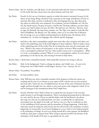- Kirsten Oates: Me too. And Jim, you talk about, it's the universal truths that the mystics are bringing forth. It's the truths that have always been true about humans and God, and-
- Jim Finley: Exactly. So let's say our God given capacity to realize this union is universal, because it's the dowry of our being. Being created by God, as persons in the image and likeness of God, it's universal. But when a person is awakened to this, the language they use, they draw from the culture in which they were awakened. So in Judaism, you have Kabbalah, see? The Ein Sof, the Jewish mystic, the great of mystics. And for the Christian tradition, you have these mystics, see? And in Islam you have the Sufi's. The Sufi way, see? This love. This love. And in yoga, the Patanjali, the yoga Sutra, namaste, see? The Yogi, to be yoked to God, like this. And in Buddhism, the dharma, see? The infinite, what is it to see reality free of delusion, free of craving, is to see as infinite and boundaryless in all directions, the divinity of the immediacy of... So these are languages, like cultural, specific languages.
- Jim Finley: And this is why when contemplative people meet each other, they recognize each other, see? And it's the underlying unity of all world religions in these traditions, which is really a source of the underlying unity of the world. How do we bring that unity into the social order, and into... Which is the essence of social justice, or the essence of service? What would it mean to be a contemplative politician? See? See, what would it mean to be a contemplative... What is it to be a contemplative scientist? What is it to be a contemplative author? So we're always grounding it in the day by day, and carrying it forward to help others.

Kirsten Oates: I think that's a beautiful reminder. And sounds like someone was trying to call you.

- Jim Finley: Yeah. In the background. I had to recharge my phone, and I didn't turn... It's out in the living room, but I didn't think I would forgot. Anyway. I was... Anyway. Yes. It's-
- Kirsten Oates: No problem. No problem.
- Jim Finley: It's their problem. Sorry.
- Kirsten Oates: Yeah. Well that was, that's a beautiful reminder of the deepness of what the mystics are teaching and the way it's so relevant to every aspect of life, and the way we treat ourselves and each other. I know for me, it's helpful because of some of the ways Christianity has been taught and been brought into our culture to start each mystic with a beginner's mind. To try and be letting go of any assumptions about God I might have.
- Jim Finley: Exactly. And that's why I think I always try to speak this way, because it's the way they speak, because it cuts through assumptions. There's something disarming about its directness in a way. And by the way, I know we said this before with the leaf blowers, the phone that rang. See, how do we understand that, see? One, it could be like an unfortunate interruption into the depth of our talk, see? And in a way it is. But we could also see that it's the unfolding of God's presence and the immediacy of things happening. I think that's what Jesus meant by doing the will of God, that the will of God is the immediacy of what's happening, it's trustworthy, even if you're hanging on a cross. And so we're being sensitized to the immediacy of things. So we're not closing ourself off to some separate, the Buddhist's would say, don't grow a separate head. We're trying to ground ourself in the divinity of the immediacy of the details of the day, in a grounded way. So, yeah.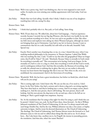- Kirsten Oates: Well it was a pretty ring. And I was thinking too, that we were supposed to start much earlier. So maybe you were missing your midday appointment with God today. God was calling.
- Jim Finley: Maybe that was God calling. Actually what I think, I think it was one of my daughters touching base with me, seeing I'm okay.

Kirsten Oates: Yeah.

Jim Finley: I think that's probably who it is. But yeah, or God calling. Same thing.

- Kirsten Oates: Well, I'll just share too. We talked Jim, about how God language... I had an experience recently, because I recently lost my big dog Winston, who has been very loyally by my side at every podcast recording we've done. So was very sad to say goodbye to him. But when my little nieces and nephews were asking me where Winston had gone, although my sister's not bringing them up in Christianity. I just had to say, he's in heaven, because I want to communicate that he's in a safe, beautiful, he's still with us in this safe, beautiful. Yeah. Special way.
- Jim Finley: Exactly. Here's another way of putting that, to me, in a way. I shared this once, when I was studying medieval philosophy at the monastery, in Thomas Aquinas. I asked Dan Walsh, who was teaching the class. I said, "Could we say that after the geographical Tokyo no longer exists, they'll still be Tokyo?" He said, "Absolutely. Because Tokyo is eternally in God's mind. So everything is eternally real." This conversation we're having, God never forgets. So the eternality of a leaf or a tree or a dog or a bird, that everything is worth all that God is worth, and it's nothingness without God. And that this eternality, the fleetness of everything. And so really the celestial state is realizing that in glory. But now we can realize it obscurely, because our heart knows that language like this is true see? That when we die, we're not annihilated, but consummated. And it's the foreverness of everything.
- Kirsten Oates: Wonderful. Well, this has been a great introduction, but before we finish Jim, which book will you be you using?
- Jim Finley: This is coming right now, I don't know why. We can cut this out, if we need to, I don't know. In the New Yorker, they had a cartoon and it shows a dog and a cat sitting together. They have their back to, and they're looking into a corner. And it's an empty corner, there's nothing in it. And the next picture, they're still looking. The next picture, they're still looking. And the next picture the dog turns to the cat and says, what in the hell are we looking at? That's a good insight into emptiness. Anyway.
- Jim Finley: Yes. So the translation that I'm using is that right? So what I'm using is, and I think this can be posted. I think Corey can, yeah. So they'll have these, those forward... So this is William Johnson's translation of The Cloud of Unknowing, it's the one I've always stayed with and used Image Double Day. And by the way, William Johnston was also a Zen sensei, at Sophia university in Japan. And he wrote his doctoral dissertation on The Cloud of Unknowing. The theology, The Cloud of Unknowing. And Thomas Merton wrote the forward to it. And Johnston came to visit me and we talked about things like this and so on. So it's always been... But I also know that, excellent too is, Ira Progoff, the intense in journaling person, the translation. And then also, what's her name? Butcher?